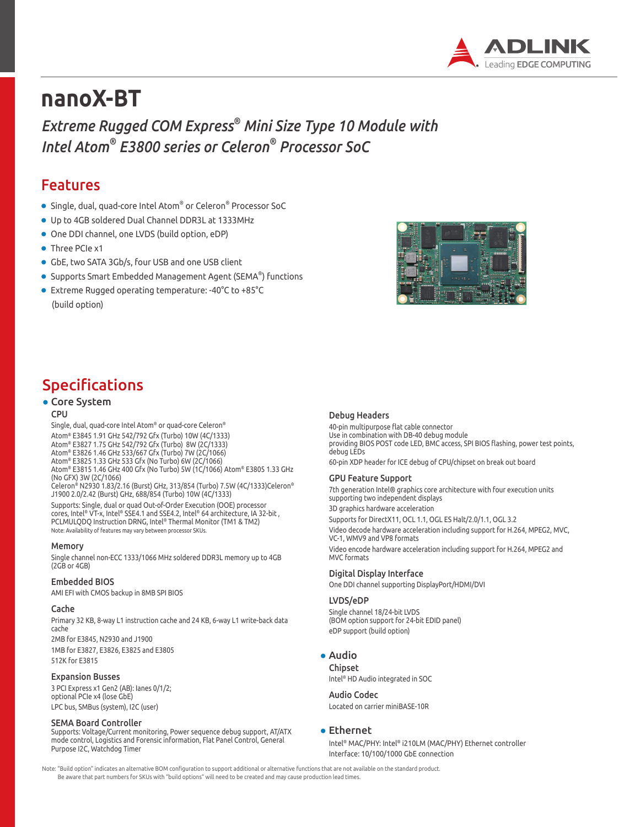

# **nanoX-BT**

*Extreme Rugged COM Express® Mini Size Type 10 Module with Intel Atom® E3800 series or Celeron® Processor SoC*

### Features

- $\bullet\,$  Single, dual, quad-core Intel Atom $^\circ$  or Celeron $^\circ$  Processor SoC
- Up to 4GB soldered Dual Channel DDR3L at 1333MHz
- One DDI channel, one LVDS (build option, eDP)
- Three PCIe x1
- GbE, two SATA 3Gb/s, four USB and one USB client
- $\bullet$  Supports Smart Embedded Management Agent (SEMA®) functions
- Extreme Rugged operating temperature: -40°C to +85°C (build option)



### Specifications

#### • Core System

#### CPU

Single, dual, quad-core Intel Atom® or quad-core Celeron® Atom® E3845 1.91 GHz 542/792 Gfx (Turbo) 10W (4C/1333) Atom® E3827 1.75 GHz 542/792 Gfx (Turbo) 8W (2C/1333) Atom® E3826 1.46 GHz 533/667 Gfx (Turbo) 7W (2C/1066) Atom® E3825 1.33 GHz 533 Gfx (No Turbo) 6W (2C/1066) Atom® E3815 1.46 GHz 400 Gfx (No Turbo) 5W (1C/1066) Atom® E3805 1.33 GHz (No GFX) 3W (2C/1066)

Celeron® N2930 1.83/2.16 (Burst) GHz, 313/854 (Turbo) 7.5W (4C/1333)Celeron® J1900 2.0/2.42 (Burst) GHz, 688/854 (Turbo) 10W (4C/1333) Supports: Single, dual or quad Out-of-Order Execution (OOE) processor

cores, Intel® VT-x, Intel® SSE4.1 and SSE4.2, Intel® 64 architecture, IA 32-bit , PCLMULQDQ Instruction DRNG, Intel® Thermal Monitor (TM1 & TM2) Note: Availability of features may vary between processor SKUs.

#### Memory

Single channel non-ECC 1333/1066 MHz soldered DDR3L memory up to 4GB (2GB or 4GB)

#### Embedded BIOS

AMI EFI with CMOS backup in 8MB SPI BIOS

#### Cache

Primary 32 KB, 8-way L1 instruction cache and 24 KB, 6-way L1 write-back data cache 2MB for E3845, N2930 and J1900 1MB for E3827, E3826, E3825 and E3805 512K for E3815

#### Expansion Busses

3 PCI Express x1 Gen2 (AB): Ianes 0/1/2; optional PCIe x4 (lose GbE) LPC bus, SMBus (system), I2C (user)

#### SEMA Board Controller

Supports: Voltage/Current monitoring, Power sequence debug support, AT/ATX mode control, Logistics and Forensic information, Flat Panel Control, General Purpose I2C, Watchdog Timer

#### Debug Headers

40-pin multipurpose flat cable connector Use in combination with DB-40 debug module providing BIOS POST code LED, BMC access, SPI BIOS flashing, power test points, debug LEDs

60-pin XDP header for ICE debug of CPU/chipset on break out board

#### GPU Feature Support

7th generation Intel® graphics core architecture with four execution units supporting two independent displays

3D graphics hardware acceleration Supports for DirectX11, OCL 1.1, OGL ES Halt/2.0/1.1, OGL 3.2 Video decode hardware acceleration including support for H.264, MPEG2, MVC, VC-1, WMV9 and VP8 formats

Video encode hardware acceleration including support for H.264, MPEG2 and MVC formats

#### Digital Display Interface

One DDI channel supporting DisplayPort/HDMI/DVI

#### LVDS/eDP

Single channel 18/24-bit LVDS (BOM option support for 24-bit EDID panel) eDP support (build option)

#### ● Audio

Chipset Intel® HD Audio integrated in SOC

#### Audio Codec

Located on carrier miniBASE-10R

#### ● Ethernet

Intel® MAC/PHY: Intel® i210LM (MAC/PHY) Ethernet controller Interface: 10/100/1000 GbE connection

Note: "Build option" indicates an alternative BOM configuration to support additional or alternative functions that are not available on the standard product. Be aware that part numbers for SKUs with "build options" will need to be created and may cause production lead times.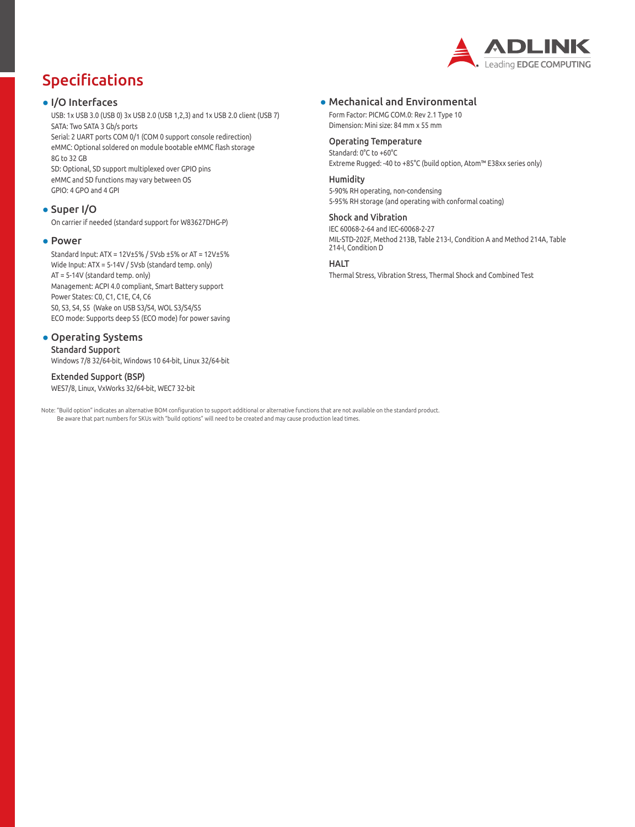

# Specifications

#### ● I/O Interfaces

USB: 1x USB 3.0 (USB 0) 3x USB 2.0 (USB 1,2,3) and 1x USB 2.0 client (USB 7) SATA: Two SATA 3 Gb/s ports

Serial: 2 UART ports COM 0/1 (COM 0 support console redirection) eMMC: Optional soldered on module bootable eMMC flash storage 8G to 32 GB

SD: Optional, SD support multiplexed over GPIO pins eMMC and SD functions may vary between OS GPIO: 4 GPO and 4 GPI

#### ● Super I/O

On carrier if needed (standard support for W83627DHG-P)

#### ● Power

Standard Input: ATX = 12V±5% / 5Vsb ±5% or AT = 12V±5% Wide Input: ATX = 5-14V / 5Vsb (standard temp. only) AT = 5-14V (standard temp. only) Management: ACPI 4.0 compliant, Smart Battery support Power States: C0, C1, C1E, C4, C6 S0, S3, S4, S5 (Wake on USB S3/S4, WOL S3/S4/S5 ECO mode: Supports deep S5 (ECO mode) for power saving

#### • Operating Systems

Standard Support Windows 7/8 32/64-bit, Windows 10 64-bit, Linux 32/64-bit

#### Extended Support (BSP)

WES7/8, Linux, VxWorks 32/64-bit, WEC7 32-bit

Note: "Build option" indicates an alternative BOM configuration to support additional or alternative functions that are not available on the standard product. Be aware that part numbers for SKUs with "build options" will need to be created and may cause production lead times.

#### ● Mechanical and Environmental

Form Factor: PICMG COM.0: Rev 2.1 Type 10 Dimension: Mini size: 84 mm x 55 mm

#### Operating Temperature

Standard: 0°C to +60°C Extreme Rugged: -40 to +85°C (build option, Atom™ E38xx series only)

#### Humidity

5-90% RH operating, non-condensing 5-95% RH storage (and operating with conformal coating)

#### Shock and Vibration

IEC 60068-2-64 and IEC-60068-2-27 MIL-STD-202F, Method 213B, Table 213-I, Condition A and Method 214A, Table 214-I, Condition D

#### HALT

Thermal Stress, Vibration Stress, Thermal Shock and Combined Test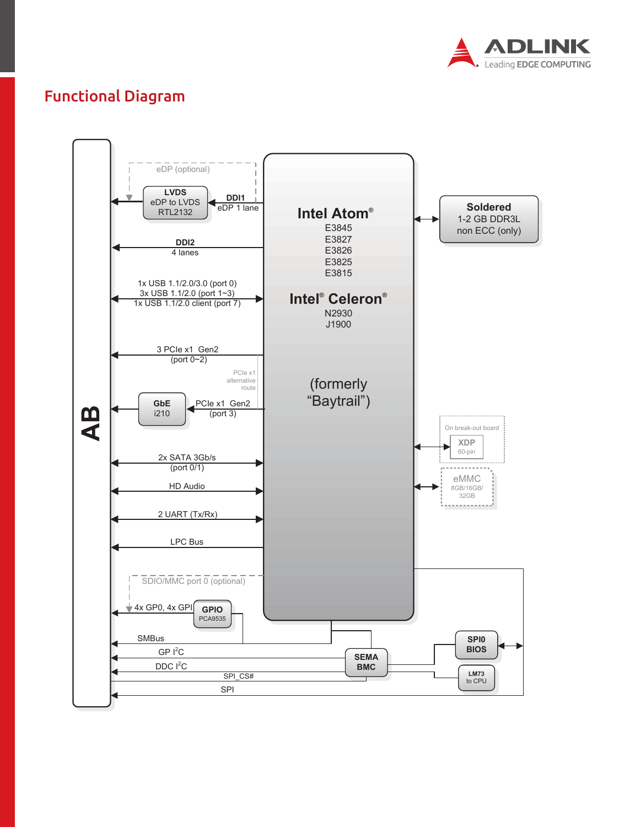

## Functional Diagram